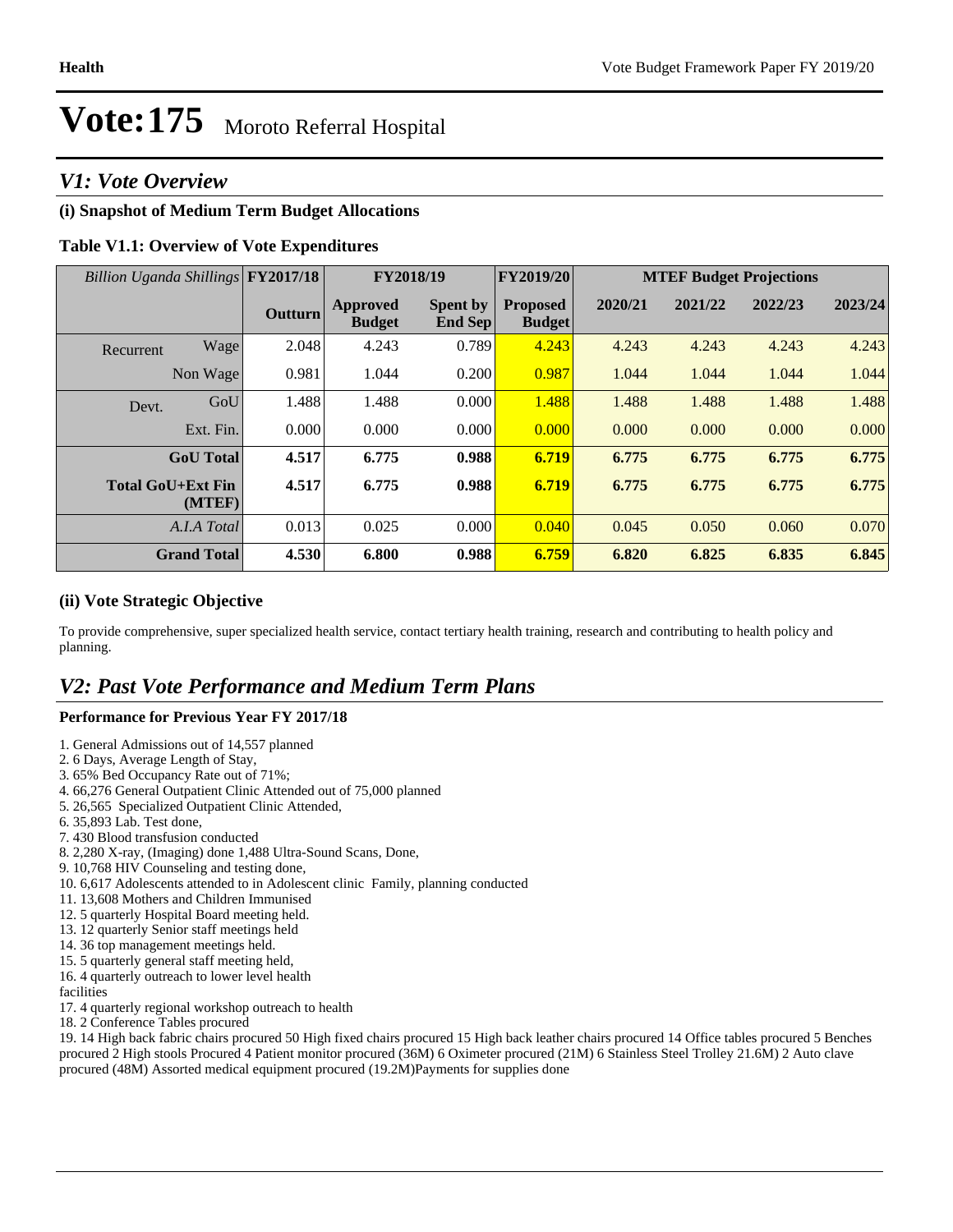### *V1: Vote Overview*

#### **(i) Snapshot of Medium Term Budget Allocations**

#### **Table V1.1: Overview of Vote Expenditures**

| Billion Uganda Shillings FY2017/18 |                    |                | FY2018/19                 |                                   | FY2019/20                        | <b>MTEF Budget Projections</b> |         |         |         |
|------------------------------------|--------------------|----------------|---------------------------|-----------------------------------|----------------------------------|--------------------------------|---------|---------|---------|
|                                    |                    | <b>Outturn</b> | Approved<br><b>Budget</b> | <b>Spent by</b><br><b>End Sep</b> | <b>Proposed</b><br><b>Budget</b> | 2020/21                        | 2021/22 | 2022/23 | 2023/24 |
| Recurrent                          | Wage               | 2.048          | 4.243                     | 0.789                             | 4.243                            | 4.243                          | 4.243   | 4.243   | 4.243   |
|                                    | Non Wage           | 0.981          | 1.044                     | 0.200                             | 0.987                            | 1.044                          | 1.044   | 1.044   | 1.044   |
| Devt.                              | GoU                | 1.488          | 1.488                     | 0.000                             | 1.488                            | 1.488                          | 1.488   | 1.488   | 1.488   |
|                                    | Ext. Fin.          | 0.000          | 0.000                     | 0.000                             | 0.000                            | 0.000                          | 0.000   | 0.000   | 0.000   |
|                                    | <b>GoU</b> Total   | 4.517          | 6.775                     | 0.988                             | 6.719                            | 6.775                          | 6.775   | 6.775   | 6.775   |
| <b>Total GoU+Ext Fin</b>           | (MTEF)             | 4.517          | 6.775                     | 0.988                             | 6.719                            | 6.775                          | 6.775   | 6.775   | 6.775   |
|                                    | A.I.A Total        | 0.013          | 0.025                     | 0.000                             | 0.040                            | 0.045                          | 0.050   | 0.060   | 0.070   |
|                                    | <b>Grand Total</b> | 4.530          | 6.800                     | 0.988                             | 6.759                            | 6.820                          | 6.825   | 6.835   | 6.845   |

#### **(ii) Vote Strategic Objective**

To provide comprehensive, super specialized health service, contact tertiary health training, research and contributing to health policy and planning.

### *V2: Past Vote Performance and Medium Term Plans*

#### **Performance for Previous Year FY 2017/18**

- 1. General Admissions out of 14,557 planned
- 2. 6 Days, Average Length of Stay,
- 3. 65% Bed Occupancy Rate out of 71%;
- 4. 66,276 General Outpatient Clinic Attended out of 75,000 planned
- 5. 26,565 Specialized Outpatient Clinic Attended,
- 6. 35,893 Lab. Test done,
- 7. 430 Blood transfusion conducted
- 8. 2,280 X-ray, (Imaging) done 1,488 Ultra-Sound Scans, Done,
- 9. 10,768 HIV Counseling and testing done,
- 10. 6,617 Adolescents attended to in Adolescent clinic Family, planning conducted
- 11. 13,608 Mothers and Children Immunised
- 12. 5 quarterly Hospital Board meeting held.
- 13. 12 quarterly Senior staff meetings held
- 14. 36 top management meetings held.
- 15. 5 quarterly general staff meeting held,

16. 4 quarterly outreach to lower level health facilities

- 17. 4 quarterly regional workshop outreach to health
- 18. 2 Conference Tables procured

19. 14 High back fabric chairs procured 50 High fixed chairs procured 15 High back leather chairs procured 14 Office tables procured 5 Benches procured 2 High stools Procured 4 Patient monitor procured (36M) 6 Oximeter procured (21M) 6 Stainless Steel Trolley 21.6M) 2 Auto clave procured (48M) Assorted medical equipment procured (19.2M)Payments for supplies done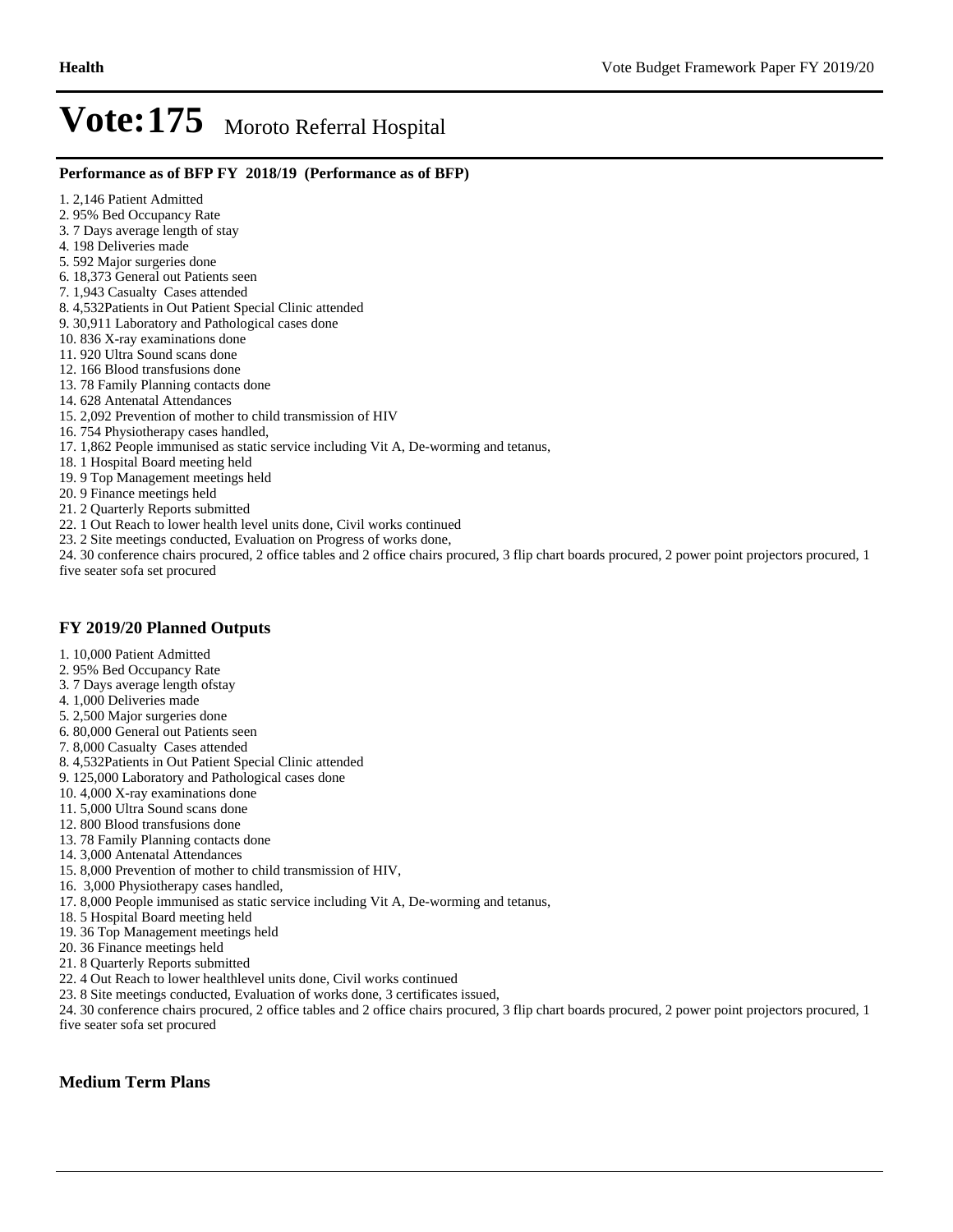#### **Performance as of BFP FY 2018/19 (Performance as of BFP)**

- 1. 2,146 Patient Admitted
- 2. 95% Bed Occupancy Rate
- 3. 7 Days average length of stay
- 4. 198 Deliveries made
- 5. 592 Major surgeries done
- 6. 18,373 General out Patients seen
- 7. 1,943 Casualty Cases attended
- 8. 4,532Patients in Out Patient Special Clinic attended
- 9. 30,911 Laboratory and Pathological cases done
- 10. 836 X-ray examinations done
- 11. 920 Ultra Sound scans done
- 12. 166 Blood transfusions done
- 13. 78 Family Planning contacts done
- 14. 628 Antenatal Attendances
- 15. 2,092 Prevention of mother to child transmission of HIV
- 16. 754 Physiotherapy cases handled,
- 17. 1,862 People immunised as static service including Vit A, De-worming and tetanus,
- 18. 1 Hospital Board meeting held
- 19. 9 Top Management meetings held
- 20. 9 Finance meetings held
- 21. 2 Quarterly Reports submitted
- 22. 1 Out Reach to lower health level units done, Civil works continued
- 23. 2 Site meetings conducted, Evaluation on Progress of works done,
- 24. 30 conference chairs procured, 2 office tables and 2 office chairs procured, 3 flip chart boards procured, 2 power point projectors procured, 1 five seater sofa set procured

#### **FY 2019/20 Planned Outputs**

- 1. 10,000 Patient Admitted
- 2. 95% Bed Occupancy Rate
- 3. 7 Days average length ofstay
- 4. 1,000 Deliveries made
- 5. 2,500 Major surgeries done
- 6. 80,000 General out Patients seen
- 7. 8,000 Casualty Cases attended
- 8. 4,532Patients in Out Patient Special Clinic attended
- 9. 125,000 Laboratory and Pathological cases done
- 10. 4,000 X-ray examinations done
- 11. 5,000 Ultra Sound scans done
- 12. 800 Blood transfusions done
- 13. 78 Family Planning contacts done
- 14. 3,000 Antenatal Attendances
- 15. 8,000 Prevention of mother to child transmission of HIV,
- 16. 3,000 Physiotherapy cases handled,
- 17. 8,000 People immunised as static service including Vit A, De-worming and tetanus,
- 18. 5 Hospital Board meeting held
- 19. 36 Top Management meetings held
- 20. 36 Finance meetings held
- 21. 8 Quarterly Reports submitted
- 22. 4 Out Reach to lower healthlevel units done, Civil works continued
- 23. 8 Site meetings conducted, Evaluation of works done, 3 certificates issued,

24. 30 conference chairs procured, 2 office tables and 2 office chairs procured, 3 flip chart boards procured, 2 power point projectors procured, 1 five seater sofa set procured

#### **Medium Term Plans**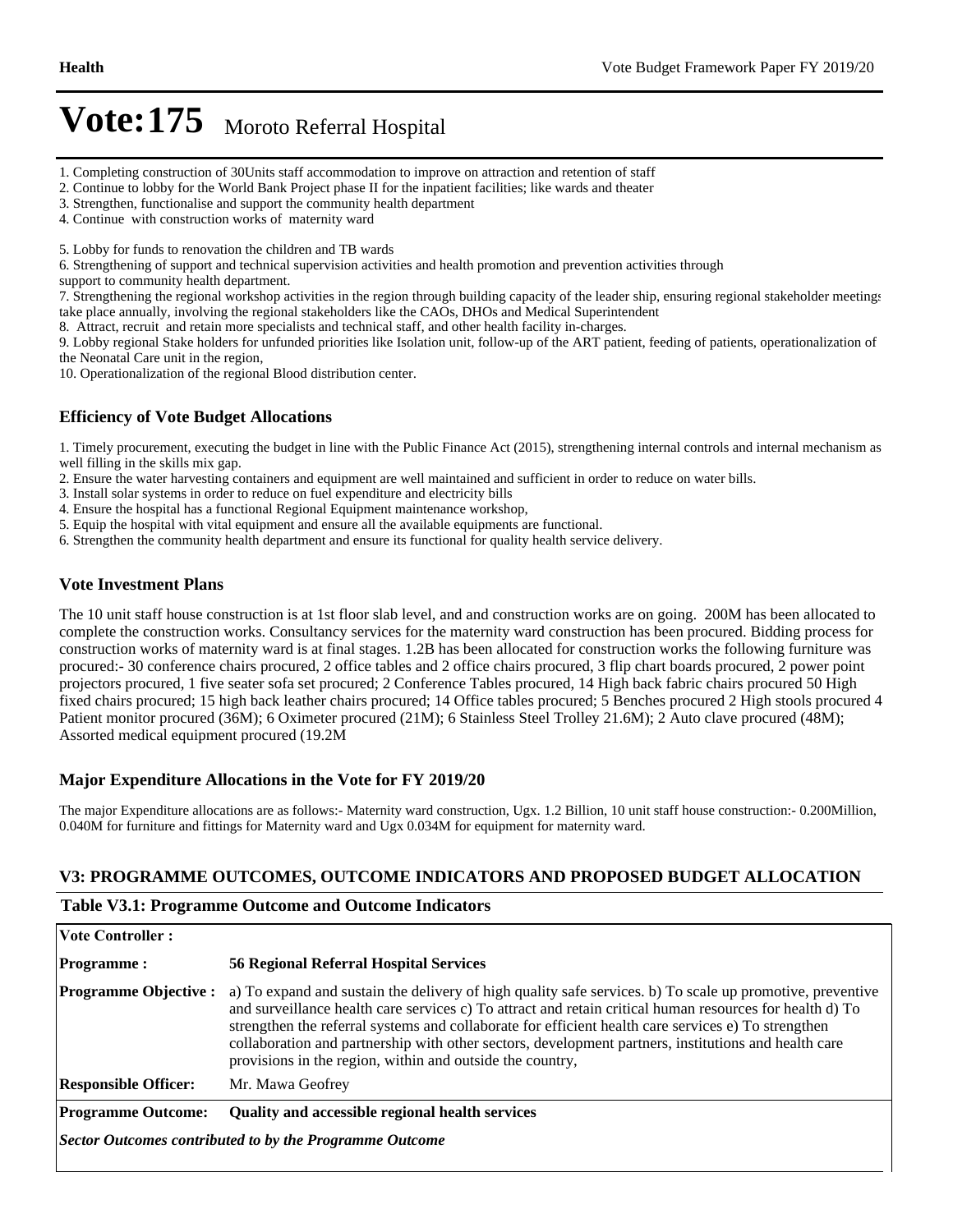- 1. Completing construction of 30Units staff accommodation to improve on attraction and retention of staff
- 2. Continue to lobby for the World Bank Project phase II for the inpatient facilities; like wards and theater
- 3. Strengthen, functionalise and support the community health department
- 4. Continue with construction works of maternity ward

5. Lobby for funds to renovation the children and TB wards

6. Strengthening of support and technical supervision activities and health promotion and prevention activities through

support to community health department.

7. Strengthening the regional workshop activities in the region through building capacity of the leader ship, ensuring regional stakeholder meetings take place annually, involving the regional stakeholders like the CAOs, DHOs and Medical Superintendent

8. Attract, recruit and retain more specialists and technical staff, and other health facility in-charges.

9. Lobby regional Stake holders for unfunded priorities like Isolation unit, follow-up of the ART patient, feeding of patients, operationalization of the Neonatal Care unit in the region,

10. Operationalization of the regional Blood distribution center.

#### **Efficiency of Vote Budget Allocations**

1. Timely procurement, executing the budget in line with the Public Finance Act (2015), strengthening internal controls and internal mechanism as well filling in the skills mix gap.

2. Ensure the water harvesting containers and equipment are well maintained and sufficient in order to reduce on water bills.

- 3. Install solar systems in order to reduce on fuel expenditure and electricity bills
- 4. Ensure the hospital has a functional Regional Equipment maintenance workshop,
- 5. Equip the hospital with vital equipment and ensure all the available equipments are functional.
- 6. Strengthen the community health department and ensure its functional for quality health service delivery.

#### **Vote Investment Plans**

The 10 unit staff house construction is at 1st floor slab level, and and construction works are on going. 200M has been allocated to complete the construction works. Consultancy services for the maternity ward construction has been procured. Bidding process for construction works of maternity ward is at final stages. 1.2B has been allocated for construction works the following furniture was procured:- 30 conference chairs procured, 2 office tables and 2 office chairs procured, 3 flip chart boards procured, 2 power point projectors procured, 1 five seater sofa set procured; 2 Conference Tables procured, 14 High back fabric chairs procured 50 High fixed chairs procured; 15 high back leather chairs procured; 14 Office tables procured; 5 Benches procured 2 High stools procured 4 Patient monitor procured (36M); 6 Oximeter procured (21M); 6 Stainless Steel Trolley 21.6M); 2 Auto clave procured (48M); Assorted medical equipment procured (19.2M

#### **Major Expenditure Allocations in the Vote for FY 2019/20**

The major Expenditure allocations are as follows:- Maternity ward construction, Ugx. 1.2 Billion, 10 unit staff house construction:- 0.200Million, 0.040M for furniture and fittings for Maternity ward and Ugx 0.034M for equipment for maternity ward.

#### **V3: PROGRAMME OUTCOMES, OUTCOME INDICATORS AND PROPOSED BUDGET ALLOCATION**

#### **Table V3.1: Programme Outcome and Outcome Indicators**

| <b>Vote Controller:</b>                                 |                                                                                                                                                                                                                                                                                                                                                                                                                                                                                                   |  |  |  |  |
|---------------------------------------------------------|---------------------------------------------------------------------------------------------------------------------------------------------------------------------------------------------------------------------------------------------------------------------------------------------------------------------------------------------------------------------------------------------------------------------------------------------------------------------------------------------------|--|--|--|--|
| <b>Programme:</b>                                       | <b>56 Regional Referral Hospital Services</b>                                                                                                                                                                                                                                                                                                                                                                                                                                                     |  |  |  |  |
| <b>Programme Objective :</b>                            | a) To expand and sustain the delivery of high quality safe services. b) To scale up promotive, preventive<br>and surveillance health care services c) To attract and retain critical human resources for health d) To<br>strengthen the referral systems and collaborate for efficient health care services e) To strengthen<br>collaboration and partnership with other sectors, development partners, institutions and health care<br>provisions in the region, within and outside the country, |  |  |  |  |
| <b>Responsible Officer:</b>                             | Mr. Mawa Geofrey                                                                                                                                                                                                                                                                                                                                                                                                                                                                                  |  |  |  |  |
| <b>Programme Outcome:</b>                               | Quality and accessible regional health services                                                                                                                                                                                                                                                                                                                                                                                                                                                   |  |  |  |  |
| Sector Outcomes contributed to by the Programme Outcome |                                                                                                                                                                                                                                                                                                                                                                                                                                                                                                   |  |  |  |  |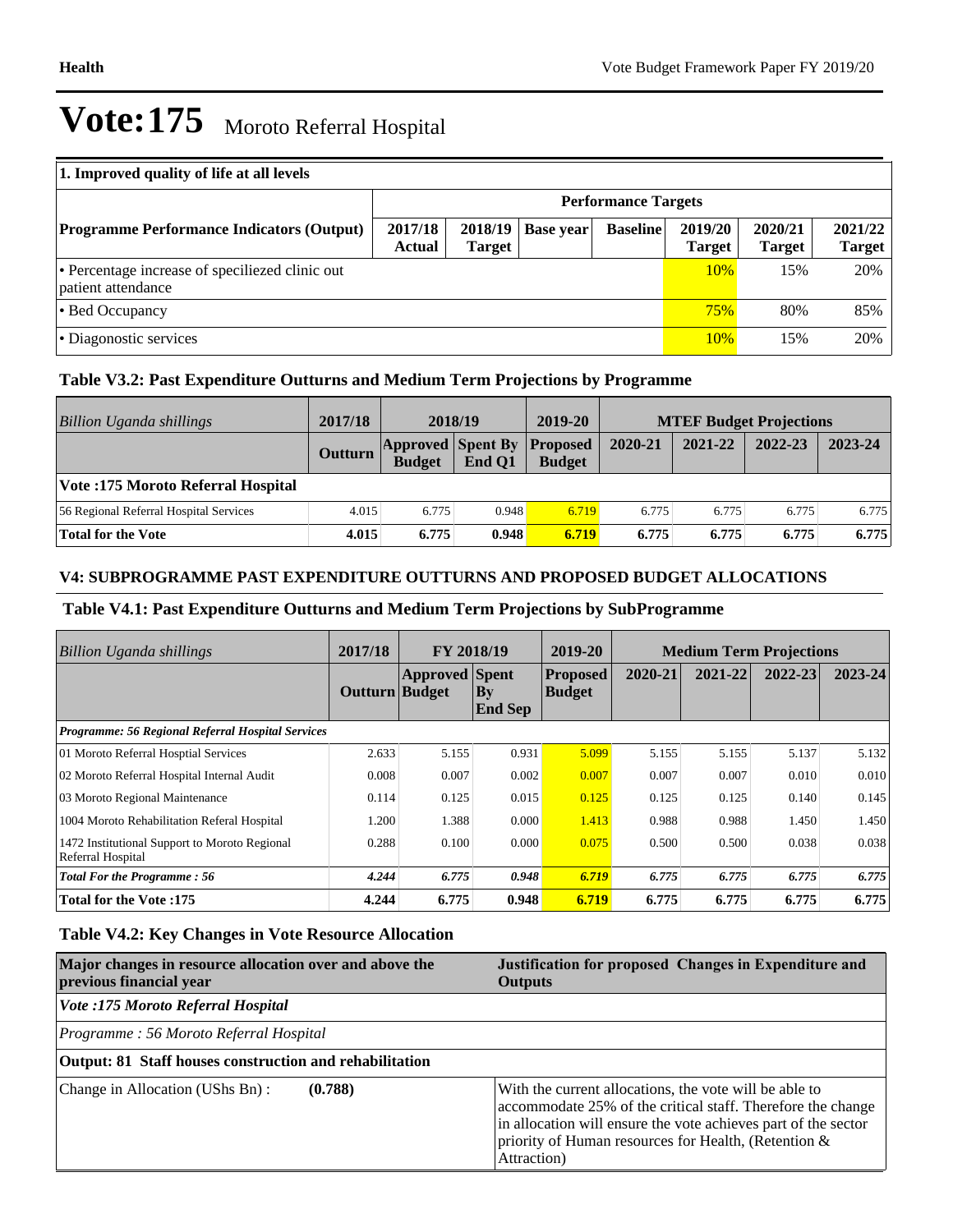| 1. Improved quality of life at all levels                             |                            |                          |           |                 |                          |                          |                          |
|-----------------------------------------------------------------------|----------------------------|--------------------------|-----------|-----------------|--------------------------|--------------------------|--------------------------|
|                                                                       | <b>Performance Targets</b> |                          |           |                 |                          |                          |                          |
| <b>Programme Performance Indicators (Output)</b>                      | 2017/18<br><b>Actual</b>   | 2018/19<br><b>Target</b> | Base year | <b>Baseline</b> | 2019/20<br><b>Target</b> | 2020/21<br><b>Target</b> | 2021/22<br><b>Target</b> |
| • Percentage increase of specifiezed clinic out<br>patient attendance |                            |                          |           |                 | 10%                      | 15%                      | 20%                      |
| • Bed Occupancy                                                       |                            |                          |           |                 |                          | 80%                      | 85%                      |
| • Diagonostic services                                                |                            |                          |           |                 | 10%                      | 15%                      | 20%                      |

#### **Table V3.2: Past Expenditure Outturns and Medium Term Projections by Programme**

| Billion Uganda shillings               | 2017/18 | 2018/19                                   |        | 2019-20                          | <b>MTEF Budget Projections</b> |         |         |         |
|----------------------------------------|---------|-------------------------------------------|--------|----------------------------------|--------------------------------|---------|---------|---------|
|                                        | Outturn | <b>Approved Spent By</b><br><b>Budget</b> | End O1 | <b>Proposed</b><br><b>Budget</b> | 2020-21                        | 2021-22 | 2022-23 | 2023-24 |
| Vote: 175 Moroto Referral Hospital     |         |                                           |        |                                  |                                |         |         |         |
| 56 Regional Referral Hospital Services | 4.015   | 6.775                                     | 0.948  | 6.719                            | 6.775                          | 6.775   | 6.775   | 6.775   |
| <b>Total for the Vote</b>              | 4.015   | 6.775                                     | 0.948  | 6.719                            | 6.775                          | 6.775   | 6.775   | 6.775   |

#### **V4: SUBPROGRAMME PAST EXPENDITURE OUTTURNS AND PROPOSED BUDGET ALLOCATIONS**

#### **Table V4.1: Past Expenditure Outturns and Medium Term Projections by SubProgramme**

| Billion Uganda shillings                                           | 2017/18        | FY 2018/19            |                       | 2019-20                          | <b>Medium Term Projections</b> |         |         |             |
|--------------------------------------------------------------------|----------------|-----------------------|-----------------------|----------------------------------|--------------------------------|---------|---------|-------------|
|                                                                    | Outturn Budget | <b>Approved</b> Spent | By <br><b>End Sep</b> | <b>Proposed</b><br><b>Budget</b> | 2020-21                        | 2021-22 | 2022-23 | $2023 - 24$ |
| <b>Programme: 56 Regional Referral Hospital Services</b>           |                |                       |                       |                                  |                                |         |         |             |
| 01 Moroto Referral Hosptial Services                               | 2.633          | 5.155                 | 0.931                 | 5.099                            | 5.155                          | 5.155   | 5.137   | 5.132       |
| 02 Moroto Referral Hospital Internal Audit                         | 0.008          | 0.007                 | 0.002                 | 0.007                            | 0.007                          | 0.007   | 0.010   | 0.010       |
| 03 Moroto Regional Maintenance                                     | 0.114          | 0.125                 | 0.015                 | 0.125                            | 0.125                          | 0.125   | 0.140   | 0.145       |
| 1004 Moroto Rehabilitation Referal Hospital                        | 1.200          | 1.388                 | 0.000                 | 1.413                            | 0.988                          | 0.988   | 1.450   | 1.450       |
| 1472 Institutional Support to Moroto Regional<br>Referral Hospital | 0.288          | 0.100                 | 0.000                 | 0.075                            | 0.500                          | 0.500   | 0.038   | 0.038       |
| <b>Total For the Programme: 56</b>                                 | 4.244          | 6.775                 | 0.948                 | 6.719                            | 6.775                          | 6.775   | 6.775   | 6.775       |
| <b>Total for the Vote: 175</b>                                     | 4.244          | 6.775                 | 0.948                 | 6.719                            | 6.775                          | 6.775   | 6.775   | 6.775       |

#### **Table V4.2: Key Changes in Vote Resource Allocation**

| Major changes in resource allocation over and above the<br>previous financial year | Justification for proposed Changes in Expenditure and<br><b>Outputs</b>                                                                                                                                                                                        |  |  |  |  |
|------------------------------------------------------------------------------------|----------------------------------------------------------------------------------------------------------------------------------------------------------------------------------------------------------------------------------------------------------------|--|--|--|--|
| Vote :175 Moroto Referral Hospital                                                 |                                                                                                                                                                                                                                                                |  |  |  |  |
| Programme: 56 Moroto Referral Hospital                                             |                                                                                                                                                                                                                                                                |  |  |  |  |
| Output: 81 Staff houses construction and rehabilitation                            |                                                                                                                                                                                                                                                                |  |  |  |  |
| Change in Allocation (UShs Bn):<br>(0.788)                                         | With the current allocations, the vote will be able to<br>accommodate 25% of the critical staff. Therefore the change<br>in allocation will ensure the vote achieves part of the sector<br>priority of Human resources for Health, (Retention &<br>Attraction) |  |  |  |  |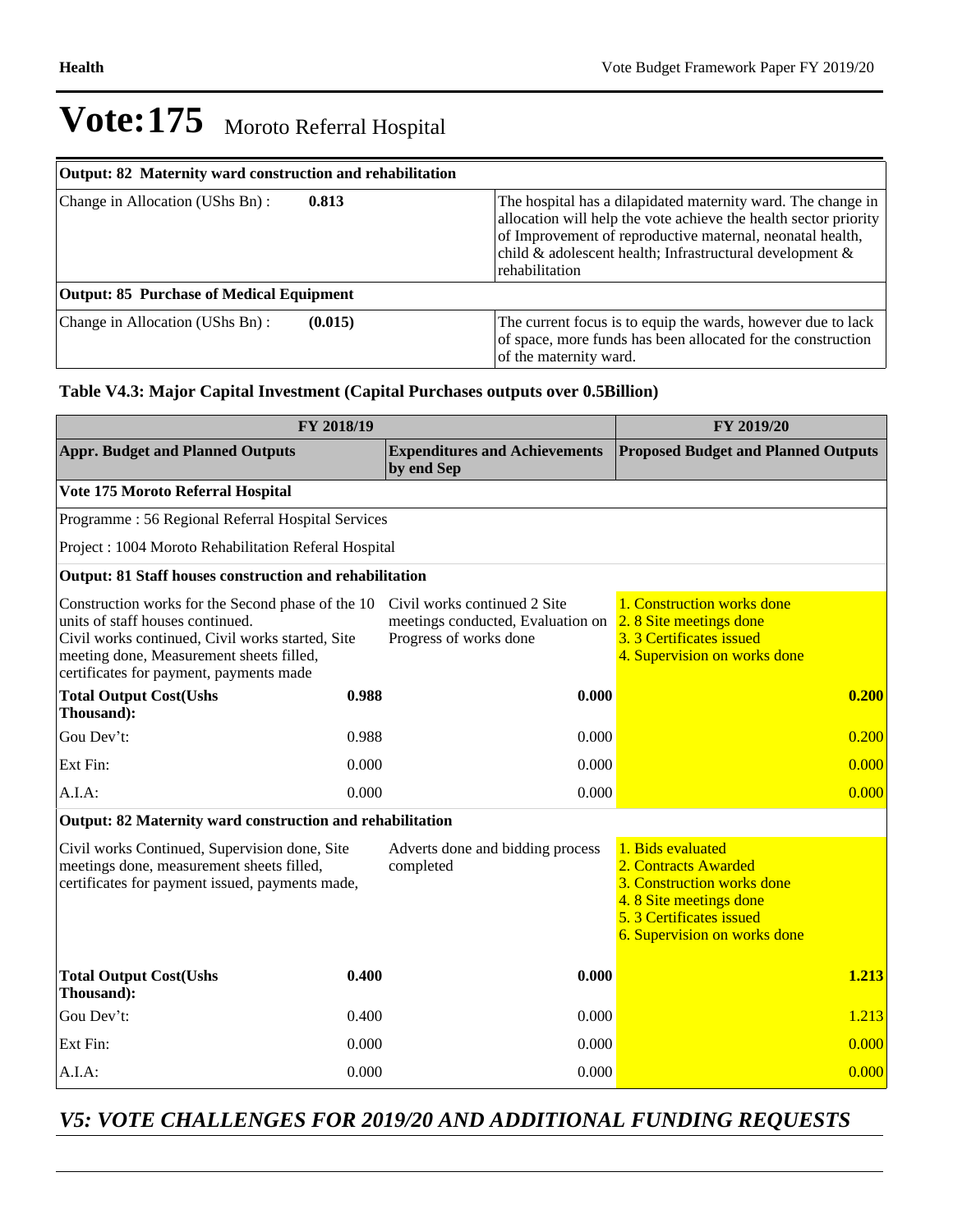| Output: 82 Maternity ward construction and rehabilitation |         |                                                                                                                                                                                                                                                                                |
|-----------------------------------------------------------|---------|--------------------------------------------------------------------------------------------------------------------------------------------------------------------------------------------------------------------------------------------------------------------------------|
| Change in Allocation (UShs Bn):                           | 0.813   | The hospital has a dilapidated maternity ward. The change in<br>allocation will help the vote achieve the health sector priority<br>of Improvement of reproductive maternal, neonatal health,<br>child & adolescent health; Infrastructural development $\&$<br>rehabilitation |
| <b>Output: 85 Purchase of Medical Equipment</b>           |         |                                                                                                                                                                                                                                                                                |
| Change in Allocation (UShs Bn):                           | (0.015) | The current focus is to equip the wards, however due to lack<br>of space, more funds has been allocated for the construction<br>of the maternity ward.                                                                                                                         |

#### **Table V4.3: Major Capital Investment (Capital Purchases outputs over 0.5Billion)**

| FY 2018/19                                                                                                                                                                                                                       | FY 2019/20 |                                                                                             |                                                                                                                                                              |
|----------------------------------------------------------------------------------------------------------------------------------------------------------------------------------------------------------------------------------|------------|---------------------------------------------------------------------------------------------|--------------------------------------------------------------------------------------------------------------------------------------------------------------|
| <b>Appr. Budget and Planned Outputs</b>                                                                                                                                                                                          |            | <b>Expenditures and Achievements</b><br>by end Sep                                          | <b>Proposed Budget and Planned Outputs</b>                                                                                                                   |
| Vote 175 Moroto Referral Hospital                                                                                                                                                                                                |            |                                                                                             |                                                                                                                                                              |
| Programme: 56 Regional Referral Hospital Services                                                                                                                                                                                |            |                                                                                             |                                                                                                                                                              |
| Project : 1004 Moroto Rehabilitation Referal Hospital                                                                                                                                                                            |            |                                                                                             |                                                                                                                                                              |
| Output: 81 Staff houses construction and rehabilitation                                                                                                                                                                          |            |                                                                                             |                                                                                                                                                              |
| Construction works for the Second phase of the 10<br>units of staff houses continued.<br>Civil works continued, Civil works started, Site<br>meeting done, Measurement sheets filled,<br>certificates for payment, payments made |            | Civil works continued 2 Site<br>meetings conducted, Evaluation on<br>Progress of works done | 1. Construction works done<br>2.8 Site meetings done<br>3. 3 Certificates issued<br>4. Supervision on works done                                             |
| <b>Total Output Cost(Ushs</b><br>Thousand):                                                                                                                                                                                      | 0.988      | 0.000                                                                                       | 0.200                                                                                                                                                        |
| Gou Dev't:                                                                                                                                                                                                                       | 0.988      | 0.000                                                                                       | 0.200                                                                                                                                                        |
| Ext Fin:                                                                                                                                                                                                                         | 0.000      | 0.000                                                                                       | 0.000                                                                                                                                                        |
| A.I.A:                                                                                                                                                                                                                           | 0.000      | 0.000                                                                                       | 0.000                                                                                                                                                        |
| Output: 82 Maternity ward construction and rehabilitation                                                                                                                                                                        |            |                                                                                             |                                                                                                                                                              |
| Civil works Continued, Supervision done, Site<br>meetings done, measurement sheets filled,<br>certificates for payment issued, payments made,                                                                                    |            | Adverts done and bidding process<br>completed                                               | 1. Bids evaluated<br>2. Contracts Awarded<br>3. Construction works done<br>4.8 Site meetings done<br>5.3 Certificates issued<br>6. Supervision on works done |
| <b>Total Output Cost(Ushs</b><br>Thousand):                                                                                                                                                                                      | 0.400      | 0.000                                                                                       | 1.213                                                                                                                                                        |
| Gou Dev't:                                                                                                                                                                                                                       | 0.400      | 0.000                                                                                       | 1.213                                                                                                                                                        |
| Ext Fin:                                                                                                                                                                                                                         | 0.000      | 0.000                                                                                       | 0.000                                                                                                                                                        |
| $A.I.A$ :                                                                                                                                                                                                                        | 0.000      | 0.000                                                                                       | 0.000                                                                                                                                                        |

### *V5: VOTE CHALLENGES FOR 2019/20 AND ADDITIONAL FUNDING REQUESTS*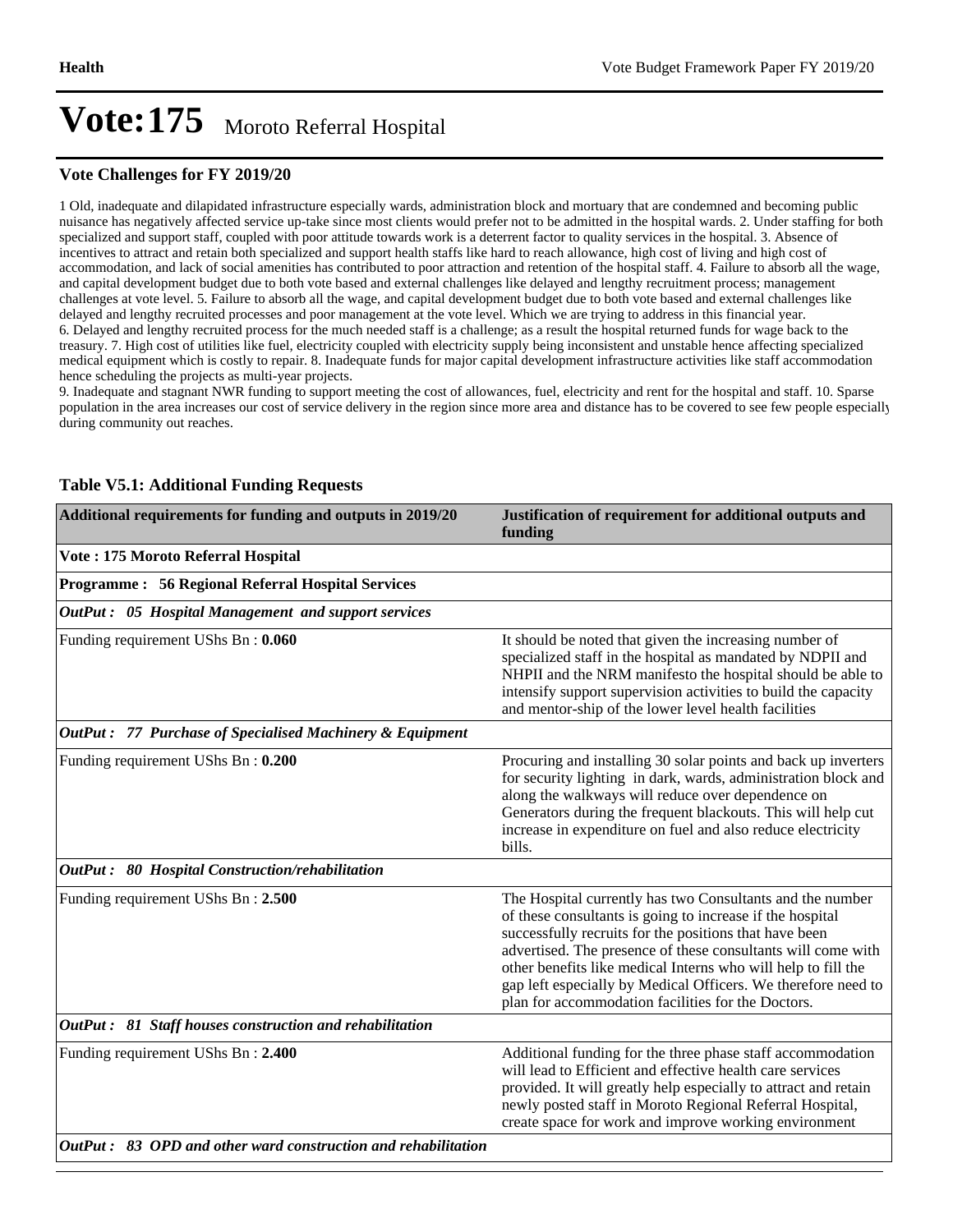#### **Vote Challenges for FY 2019/20**

1 Old, inadequate and dilapidated infrastructure especially wards, administration block and mortuary that are condemned and becoming public nuisance has negatively affected service up-take since most clients would prefer not to be admitted in the hospital wards. 2. Under staffing for both specialized and support staff, coupled with poor attitude towards work is a deterrent factor to quality services in the hospital. 3. Absence of incentives to attract and retain both specialized and support health staffs like hard to reach allowance, high cost of living and high cost of accommodation, and lack of social amenities has contributed to poor attraction and retention of the hospital staff. 4. Failure to absorb all the wage, and capital development budget due to both vote based and external challenges like delayed and lengthy recruitment process; management challenges at vote level. 5. Failure to absorb all the wage, and capital development budget due to both vote based and external challenges like delayed and lengthy recruited processes and poor management at the vote level. Which we are trying to address in this financial year. 6. Delayed and lengthy recruited process for the much needed staff is a challenge; as a result the hospital returned funds for wage back to the treasury. 7. High cost of utilities like fuel, electricity coupled with electricity supply being inconsistent and unstable hence affecting specialized medical equipment which is costly to repair. 8. Inadequate funds for major capital development infrastructure activities like staff accommodation hence scheduling the projects as multi-year projects.

9. Inadequate and stagnant NWR funding to support meeting the cost of allowances, fuel, electricity and rent for the hospital and staff. 10. Sparse population in the area increases our cost of service delivery in the region since more area and distance has to be covered to see few people especially during community out reaches.

| Additional requirements for funding and outputs in 2019/20    | Justification of requirement for additional outputs and<br>funding                                                                                                                                                                                                                                                                                                                                                                       |
|---------------------------------------------------------------|------------------------------------------------------------------------------------------------------------------------------------------------------------------------------------------------------------------------------------------------------------------------------------------------------------------------------------------------------------------------------------------------------------------------------------------|
| Vote: 175 Moroto Referral Hospital                            |                                                                                                                                                                                                                                                                                                                                                                                                                                          |
| <b>Programme: 56 Regional Referral Hospital Services</b>      |                                                                                                                                                                                                                                                                                                                                                                                                                                          |
| OutPut: 05 Hospital Management and support services           |                                                                                                                                                                                                                                                                                                                                                                                                                                          |
| Funding requirement UShs Bn: 0.060                            | It should be noted that given the increasing number of<br>specialized staff in the hospital as mandated by NDPII and<br>NHPII and the NRM manifesto the hospital should be able to<br>intensify support supervision activities to build the capacity<br>and mentor-ship of the lower level health facilities                                                                                                                             |
| OutPut: 77 Purchase of Specialised Machinery & Equipment      |                                                                                                                                                                                                                                                                                                                                                                                                                                          |
| Funding requirement UShs Bn: 0.200                            | Procuring and installing 30 solar points and back up inverters<br>for security lighting in dark, wards, administration block and<br>along the walkways will reduce over dependence on<br>Generators during the frequent blackouts. This will help cut<br>increase in expenditure on fuel and also reduce electricity<br>bills.                                                                                                           |
| OutPut: 80 Hospital Construction/rehabilitation               |                                                                                                                                                                                                                                                                                                                                                                                                                                          |
| Funding requirement UShs Bn: 2.500                            | The Hospital currently has two Consultants and the number<br>of these consultants is going to increase if the hospital<br>successfully recruits for the positions that have been<br>advertised. The presence of these consultants will come with<br>other benefits like medical Interns who will help to fill the<br>gap left especially by Medical Officers. We therefore need to<br>plan for accommodation facilities for the Doctors. |
| OutPut: 81 Staff houses construction and rehabilitation       |                                                                                                                                                                                                                                                                                                                                                                                                                                          |
| Funding requirement UShs Bn: 2.400                            | Additional funding for the three phase staff accommodation<br>will lead to Efficient and effective health care services<br>provided. It will greatly help especially to attract and retain<br>newly posted staff in Moroto Regional Referral Hospital,<br>create space for work and improve working environment                                                                                                                          |
| OutPut: 83 OPD and other ward construction and rehabilitation |                                                                                                                                                                                                                                                                                                                                                                                                                                          |

#### **Table V5.1: Additional Funding Requests**